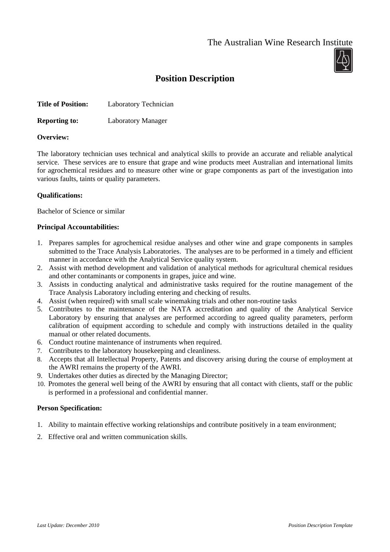The Australian Wine Research Institute



# **Position Description**

| <b>Title of Position:</b> | Laboratory Technician |
|---------------------------|-----------------------|
|---------------------------|-----------------------|

**Reporting to:** Laboratory Manager

## **Overview:**

The laboratory technician uses technical and analytical skills to provide an accurate and reliable analytical service. These services are to ensure that grape and wine products meet Australian and international limits for agrochemical residues and to measure other wine or grape components as part of the investigation into various faults, taints or quality parameters.

## **Qualifications:**

Bachelor of Science or similar

## **Principal Accountabilities:**

- 1. Prepares samples for agrochemical residue analyses and other wine and grape components in samples submitted to the Trace Analysis Laboratories. The analyses are to be performed in a timely and efficient manner in accordance with the Analytical Service quality system.
- 2. Assist with method development and validation of analytical methods for agricultural chemical residues and other contaminants or components in grapes, juice and wine.
- 3. Assists in conducting analytical and administrative tasks required for the routine management of the Trace Analysis Laboratory including entering and checking of results.
- 4. Assist (when required) with small scale winemaking trials and other non-routine tasks
- 5. Contributes to the maintenance of the NATA accreditation and quality of the Analytical Service Laboratory by ensuring that analyses are performed according to agreed quality parameters, perform calibration of equipment according to schedule and comply with instructions detailed in the quality manual or other related documents.
- 6. Conduct routine maintenance of instruments when required.
- 7. Contributes to the laboratory housekeeping and cleanliness.
- 8. Accepts that all Intellectual Property, Patents and discovery arising during the course of employment at the AWRI remains the property of the AWRI.
- 9. Undertakes other duties as directed by the Managing Director;
- 10. Promotes the general well being of the AWRI by ensuring that all contact with clients, staff or the public is performed in a professional and confidential manner.

## **Person Specification:**

- 1. Ability to maintain effective working relationships and contribute positively in a team environment;
- 2. Effective oral and written communication skills.